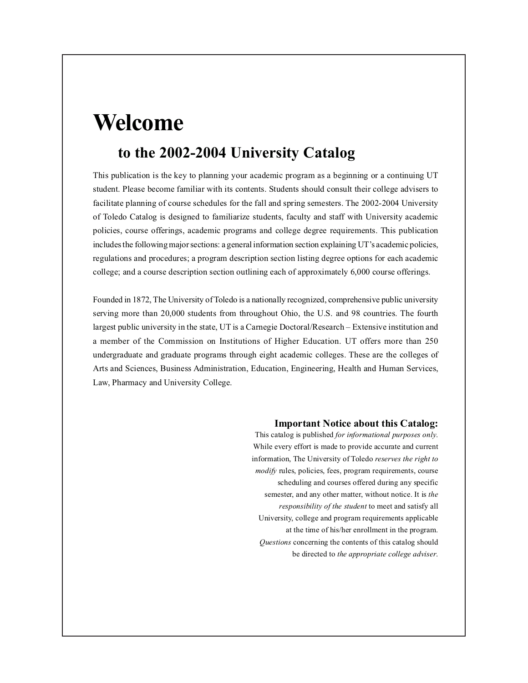# **Welcome**

## **to the 2002-2004 University Catalog**

This publication is the key to planning your academic program as a beginning or a continuing UT student. Please become familiar with its contents. Students should consult their college advisers to facilitate planning of course schedules for the fall and spring semesters. The 2002-2004 University of Toledo Catalog is designed to familiarize students, faculty and staff with University academic policies, course offerings, academic programs and college degree requirements. This publication includes the following major sections: a general information section explaining UT's academic policies, regulations and procedures; a program description section listing degree options for each academic college; and a course description section outlining each of approximately 6,000 course offerings.

Founded in 1872, The University of Toledo is a nationally recognized, comprehensive public university serving more than 20,000 students from throughout Ohio, the U.S. and 98 countries. The fourth largest public university in the state, UT is a Carnegie Doctoral/Research – Extensive institution and a member of the Commission on Institutions of Higher Education. UT offers more than 250 undergraduate and graduate programs through eight academic colleges. These are the colleges of Arts and Sciences, Business Administration, Education, Engineering, Health and Human Services, Law, Pharmacy and University College.

#### **Important Notice about this Catalog:**

This catalog is published *for informational purposes only*. While every effort is made to provide accurate and current information, The University of Toledo *reserves the right to modify* rules, policies, fees, program requirements, course scheduling and courses offered during any specific semester, and any other matter, without notice. It is *the responsibility of the student* to meet and satisfy all University, college and program requirements applicable at the time of his/her enrollment in the program. *Questions* concerning the contents of this catalog should be directed to *the appropriate college adviser*.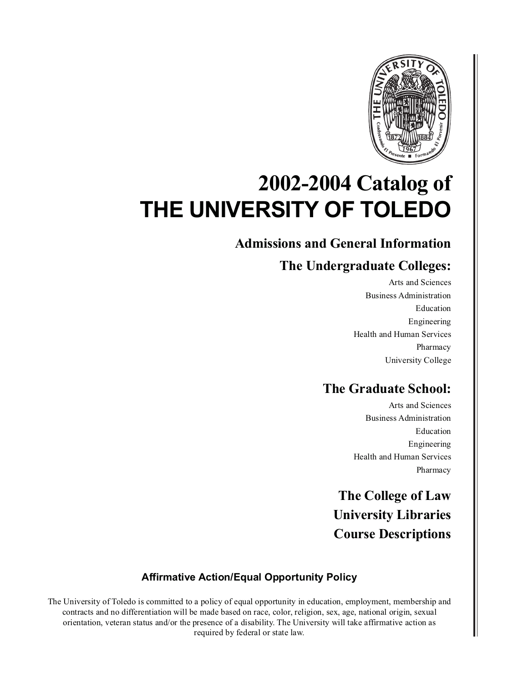

# **2002-2004 Catalog of THE UNIVERSITY OF TOLEDO**

## **Admissions and General Information**

## **The Undergraduate Colleges:**

Arts and Sciences Business Administration Education Engineering Health and Human Services Pharmacy University College

## **The Graduate School:**

Arts and Sciences Business Administration Education Engineering Health and Human Services Pharmacy

**The College of Law University Libraries Course Descriptions**

### **Affirmative Action/Equal Opportunity Policy**

The University of Toledo is committed to a policy of equal opportunity in education, employment, membership and contracts and no differentiation will be made based on race, color, religion, sex, age, national origin, sexual orientation, veteran status and/or the presence of a disability. The University will take affirmative action as required by federal or state law.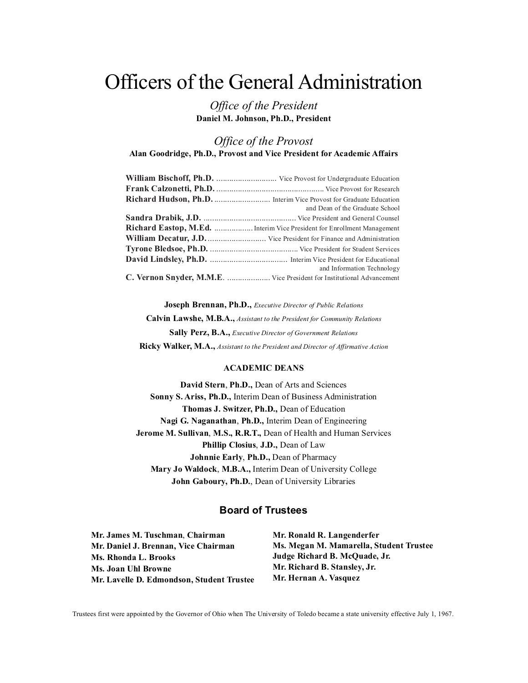# Officers of the General Administration

*Office of the President* **Daniel M. Johnson, Ph.D., President**

*Office of the Provost*

**Alan Goodridge, Ph.D., Provost and Vice President for Academic Affairs**

| and Dean of the Graduate School                                         |
|-------------------------------------------------------------------------|
|                                                                         |
| Richard Eastop, M.Ed.  Interim Vice President for Enrollment Management |
|                                                                         |
|                                                                         |
|                                                                         |
| and Information Technology                                              |
| C. Vernon Snyder, M.M.E.  Vice President for Institutional Advancement  |

**Joseph Brennan, Ph.D.,** *Executive Director of Public Relations*

**Calvin Lawshe, M.B.A.,** *Assistant to the President for Community Relations* **Sally Perz, B.A.,** *Executive Director of Government Relations* **Ricky Walker, M.A.,** *Assistant to the President and Director of Affirmative Action*

#### **ACADEMIC DEANS**

**David Stern**, **Ph.D.,** Dean of Arts and Sciences **Sonny S. Ariss, Ph.D.,** Interim Dean of Business Administration **Thomas J. Switzer, Ph.D.,** Dean of Education **Nagi G. Naganathan**, **Ph.D.,** Interim Dean of Engineering **Jerome M. Sullivan**, **M.S., R.R.T.,** Dean of Health and Human Services **Phillip Closius**, **J.D.,** Dean of Law **Johnnie Early**, **Ph.D.,** Dean of Pharmacy **Mary Jo Waldock**, **M.B.A.,** Interim Dean of University College **John Gaboury, Ph.D.**, Dean of University Libraries

#### **Board of Trustees**

**Mr. James M. Tuschman**, **Chairman Mr. Daniel J. Brennan, Vice Chairman Ms. Rhonda L. Brooks Ms. Joan Uhl Browne Mr. Lavelle D. Edmondson, Student Trustee** **Mr. Ronald R. Langenderfer Ms. Megan M. Mamarella, Student Trustee Judge Richard B. McQuade, Jr. Mr. Richard B. Stansley, Jr. Mr. Hernan A. Vasquez**

Trustees first were appointed by the Governor of Ohio when The University of Toledo became a state university effective July 1, 1967.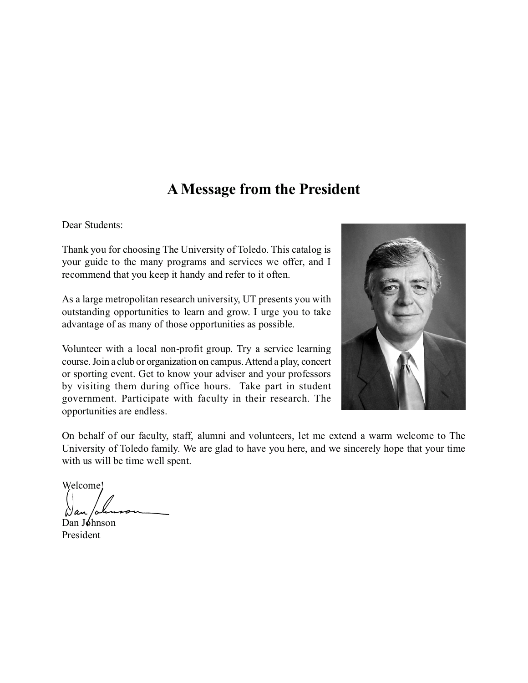## **A Message from the President**

Dear Students:

Thank you for choosing The University of Toledo. This catalog is your guide to the many programs and services we offer, and I recommend that you keep it handy and refer to it often.

As a large metropolitan research university, UT presents you with outstanding opportunities to learn and grow. I urge you to take advantage of as many of those opportunities as possible.

Volunteer with a local non-profit group. Try a service learning course. Join a club or organization on campus. Attend a play, concert or sporting event. Get to know your adviser and your professors by visiting them during office hours. Take part in student government. Participate with faculty in their research. The opportunities are endless.



On behalf of our faculty, staff, alumni and volunteers, let me extend a warm welcome to The University of Toledo family. We are glad to have you here, and we sincerely hope that your time with us will be time well spent.

Welcome!

Dan Johnson President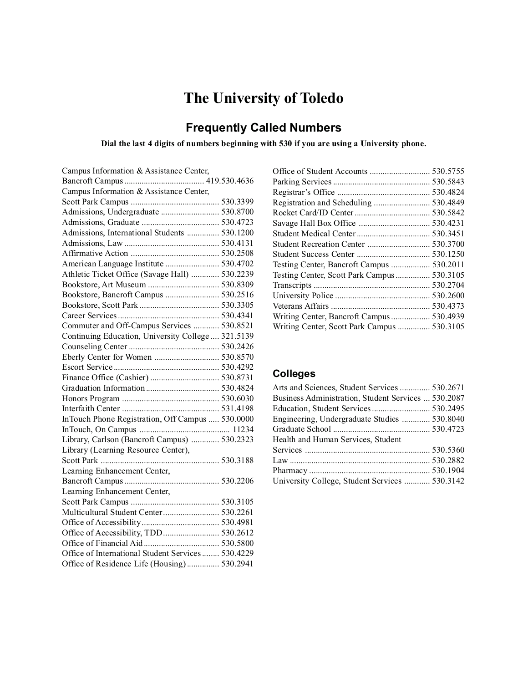# **The University of Toledo**

## **Frequently Called Numbers**

### **Dial the last 4 digits of numbers beginning with 530 if you are using a University phone.**

| Campus Information & Assistance Center,            |
|----------------------------------------------------|
|                                                    |
| Campus Information & Assistance Center,            |
|                                                    |
| Admissions, Undergraduate  530.8700                |
|                                                    |
| Admissions, International Students  530.1200       |
|                                                    |
|                                                    |
| American Language Institute  530.4702              |
| Athletic Ticket Office (Savage Hall)  530.2239     |
|                                                    |
| Bookstore, Bancroft Campus  530.2516               |
|                                                    |
|                                                    |
| Commuter and Off-Campus Services  530.8521         |
| Continuing Education, University College  321.5139 |
|                                                    |
| Eberly Center for Women  530.8570                  |
|                                                    |
|                                                    |
|                                                    |
|                                                    |
|                                                    |
| InTouch Phone Registration, Off Campus  530.0000   |
|                                                    |
| Library, Carlson (Bancroft Campus)  530.2323       |
| Library (Learning Resource Center),                |
|                                                    |
| Learning Enhancement Center,                       |
|                                                    |
| Learning Enhancement Center,                       |
|                                                    |
| Multicultural Student Center 530.2261              |
|                                                    |
| Office of Accessibility, TDD 530.2612              |
|                                                    |
| Office of International Student Services 530.4229  |
| Office of Residence Life (Housing) 530.2941        |

| Student Recreation Center  530.3700         |  |
|---------------------------------------------|--|
|                                             |  |
| Testing Center, Bancroft Campus  530.2011   |  |
| Testing Center, Scott Park Campus 530.3105  |  |
|                                             |  |
|                                             |  |
|                                             |  |
| Writing Center, Bancroft Campus 530.4939    |  |
| Writing Center, Scott Park Campus  530.3105 |  |
|                                             |  |

### **Colleges**

| Arts and Sciences, Student Services  530.2671       |  |
|-----------------------------------------------------|--|
| Business Administration, Student Services  530.2087 |  |
| Education, Student Services 530.2495                |  |
| Engineering, Undergraduate Studies  530.8040        |  |
|                                                     |  |
| Health and Human Services, Student                  |  |
|                                                     |  |
|                                                     |  |
|                                                     |  |
| University College, Student Services  530.3142      |  |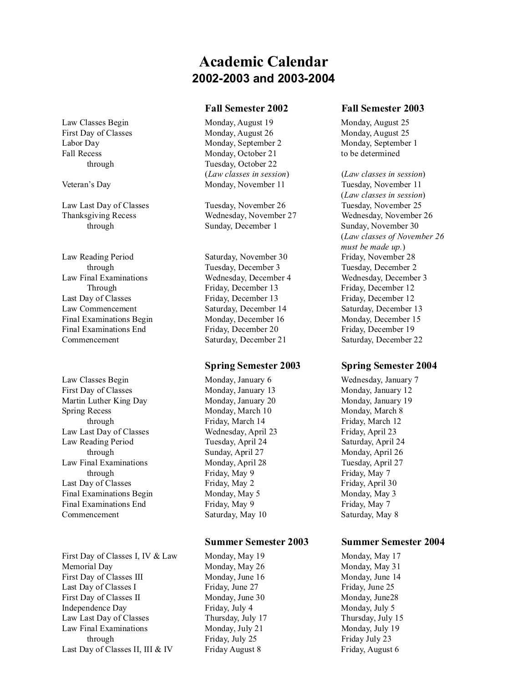## **Academic Calendar 2002-2003 and 2003-2004**

#### **Fall Semester 2002 Fall Semester 2003**

Law Classes Begin Monday, August 19 Monday, August 25 First Day of Classes Monday, August 26 Monday, August 25 Labor Day Monday, September 2 Monday, September 1 Fall Recess Monday, October 21 to be determined through Tuesday, October 22 (*Law classes in session*) (*Law classes in session*)

Law Last Day of Classes Tuesday, November 26 Tuesday, November 25 Thanksgiving Recess Wednesday, November 27 Wednesday, November 26 through Sunday, December 1 Sunday, November 30

through Tuesday, December 3 Tuesday, December 2 Through Friday, December 13 Friday, December 12

#### **Spring Semester 2003 Spring Semester 2004**

through Friday, March 14 Friday, March 12 through Sunday, April 27 Monday, April 26 through Friday, May 9 Friday, May 7

#### **Summer Semester 2003 Summer Semester 2004**

Veteran's Day Monday, November 11 Tuesday, November 11 (*Law classes in session*) (*Law classes of November 26 must be made up.*)

Law Reading Period Saturday, November 30 Friday, November 28 Law Final Examinations Wednesday, December 4 Wednesday, December 3 Last Day of Classes Friday, December 13 Friday, December 12 Law Commencement Saturday, December 14 Saturday, December 13 Final Examinations Begin Monday, December 16 Monday, December 15 Final Examinations End Friday, December 20 Friday, December 19 Commencement Saturday, December 21 Saturday, December 22

Law Classes Begin Monday, January 6 Wednesday, January 7 First Day of Classes Monday, January 13 Monday, January 12 Martin Luther King Day Monday, January 20 Monday, January 19 Spring Recess Monday, March 10 Monday, March 8 Law Last Day of Classes Wednesday, April 23 Friday, April 23 Law Reading Period Tuesday, April 24 Saturday, April 24 Law Final Examinations Monday, April 28 Tuesday, April 27 Last Day of Classes Friday, May 2 Friday, May 2 Friday, April 30 Final Examinations Begin Monday, May 5 Monday, May 3 Final Examinations End Friday, May 9 Friday, May 7 Commencement Saturday, May 10 Saturday, May 8

First Day of Classes I, IV & Law Monday, May 19 Monday, May 17 Memorial Day **Monday, May 26** Monday, May 26 Monday, May 31 First Day of Classes III Monday, June 16 Monday, June 14 Last Day of Classes I Friday, June 27 Friday, June 25 First Day of Classes II Monday, June 30 Monday, June 28 Independence Day Friday, July 4 Monday, July 5 Law Last Day of Classes Thursday, July 17 Thursday, July 15 Law Final Examinations Monday, July 21 Monday, July 19 through Friday, July 25 Friday July 23 Last Day of Classes II, III & IV Friday August 8 Friday, August 6